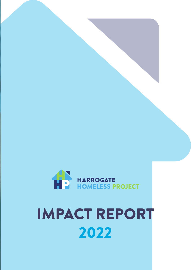

### IMPACT REPORT 2022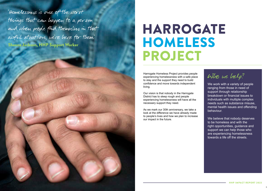"Homelessness is one of the worst things that can happen to a person and when people find themselves in that awful situation, we're here for them." Sheena Jackson, HHP Support Worker

> Harrogate Homeless Project provides people experiencing homelessness with a safe place to stay and the support they need to build confidence and move towards independent living.

Our vision is that nobody in the Harrogate District has to sleep rough and people experiencing homelessness will have all the necessary support they need.

> We believe that nobody deserves to be homeless and with the right opportunities, guidance and support we can help those who are experiencing homelessness towards a life off the streets.

As we mark our 30th anniversary, we take a look at the difference we have already made to people's lives and how we plan to increase our impact in the future.

## HARROGATE HOMELESS PROJECT

### Who we help?

We work with a variety of people ranging from those in need of support through relationship breakdown or financial issues to individuals with multiple complex needs such as substance misuse, mental health issues and offending behaviour.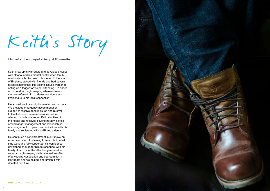

4

Keith grew up in Harrogate and developed issues with alcohol and his mental health when family relationships broke down. He moved to the south of England, stayed with friends and had several failed relationships. His alcohol issues worsened, acting as a trigger for violent offending. He ended up in London rough sleeping where outreach workers referred him to Harrogate Homeless Project due to his local connection.

He arrived low in mood, dishevelled and anxious. We provided emergency accommodation, support to resolve benefit issues and referral to local alcohol treatment services before offering him a hostel room. Keith stabilised in the hostel and received psychotherapy, advice around anger management and relationships, encouragement to open communications with his family and registered with a GP and a dentist.

He continued alcohol treatment in our move-on accommodation. Abstaining from alcohol, in full time work and fully supported, his confidence developed enough for him to reconnect with his family. Just 10 months after being referred to us as a rough sleeper, Keith received an offer of a Housing Association one bedroom flat in Harrogate and we helped him furnish it with donated furniture.

# Keith's Story

### Housed and employed after just 10 months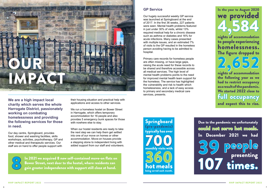**We are a high impact local charity which serves the whole Harrogate District, passionately working on combating homelessness and providing the following services for those in need.**

Our day centre, Springboard, provides food, shower and washing facilities, skills workshops, activities, psychotherapy, GP and other medical and therapeutic services. Our staff are on hand to offer people support with

their housing situation and practical help with applications and access to other services.

We run a homeless hostel on Bower Street in Harrogate, which offers temporary accommodation for 16 people and also provides 5 emergency bunk spaces for those with nowhere else to stay.

When our hostel residents are ready to take the next step we can help them get settled into one of our move on homes or other accommodation. Move-on houses provide a stepping stone to independent living with added support from our staff and volunteers.



### **GP Service**

In 2021 we acquired 8 new self-contained move-on flats on Bower Street, next door to the hostel, where residents can gain greater independence with support still close at hand.

Our hugely successful weekly GP service was launched at Springboard at the end of 2017. In the first 36 weeks, 227 patients were seen. Mental health problems featured in just under 30% of visits, whilst 13% required medical help for a chronic disease such as asthma or diabetes and 16% for acute infections. Many cases presented with multiple issues, and an estimated 7% of visits to the GP resulted in the homeless person avoiding having to be admitted to hospital.

700 typically has over hot meals being served each month. 360<br>hot meals Springboard (pre-pandemic)

Primary care records for homeless people are often missing, or have large gaps, raising the acute need for these records to be shared and therefore accessible across all medical services. The high level of mental health problems points to the need for improved mental health team support for the homeless. The service has highlighted the vulnerability and risk to health which homelessness, and a lack of easy access to primary and secondary medical care services, presents.

In the year to August 2020 we provided nights of accommodation to people experiencing homelessness. The figure dropped to nights of accommodation the following year as we had to restrict occupancy as a result of the pandemic. We started 2022 close to full occupancy and expect this to rise. 4,584 2,652

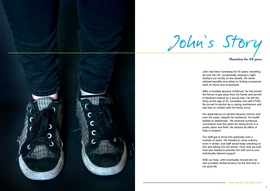

John had been homeless for 40 years, travelling all over the UK, occasionally staying in night shelters but mostly on the streets. He never claimed benefits and relied on finding occasional work on farms and scrapyards.

After a troubled abusive childhood, he had joined the forces to get away from his family and served in Northern Ireland as a young man. He left the Army at the age of 20, homeless and with PTSD. He turned to alcohol as a coping mechanism and has had no contact with his family since.

His dependency on alcohol became chronic and over the years, despite his resilience, his health started to deteriorate. He received numerous convictions over the years for being drunk in a public place and theft. He refused all offers of help or support.

Our staff got to know him gradually over a number of years. He refused to come indoors, even in winter, and staff would keep checking on him and taking him hot drinks. Over time we built trust and started to provide him with one to one individually tailored support.

With our help, John eventually moved into his own privately rented tenancy for the first time in his adult life.

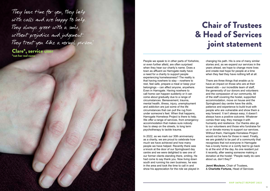"They have time for you, they help with calls and are happy to help. They alarys greet with a smile, without prejudice and judgement. They treat you like a normal person."

Clare\*, service user \*not her real name

People we speak to in other parts of Yorkshire, or even further afield, are often surprised when they hear our charity's name. Does a town as affluent as Harrogate really have a need for a charity to support people experiencing homelessness? The reality is that having nowhere to stay – nowhere to rest, feel safe, prepare a meal or keep your belongings – can affect anyone, anywhere. Even in Harrogate. Having nowhere to call home can happen suddenly or it can come about gradually due to a range of circumstances. Bereavement, trauma, mental health, illness, injury, unemployment and addiction are just some of the life circumstances that can pull the rug from under someone's feet. When that happens, Harrogate Homeless Project is there to help. We offer a range of services, from emergency accommodation that makes sure nobody has to sleep on the streets, to long term psychotherapy to tackle trauma.

In 2022, as we mark our 30th anniversary as a charity, we are proud to celebrate how much we have achieved and how many people we have helped. Recently there was a knock at the door of our Springboard day centre and we were delighted to see one of our former clients standing there, smiling. He had come to say thank you. Now living down south and running his own business, he was in the area and took the time to call in and show his appreciation for the role we played in

changing his path. His is one of many similar stories and, as we expand our services in the years ahead, we hope to change more lives and create real hope for people at a time when they feel they have nothing left at all.

There are three things that enable us to have an impact on those who are at their lowest ebb – our incredible team of staff, the generosity of our donors and volunteers and the compassion of our community. All of the staff covering the hostel, supported accommodation, move on house and the Springboard day centre have the skills, patience and experience to build trust with people who are vulnerable and show them a way forward. It isn't always easy; it doesn't always have a positive outcome. Whatever comes their way, they manage it with humanity and resilience. Our thanks also go to our volunteers and those who fundraise for us or donate money to support our services. Without them, Harrogate Homeless Project would not be here for those in need. Finally, we are grateful to be part of a community that recognises that not everyone in Harrogate has a lovely home or a comfy bed to go back to at the end of the day. As one resident put it recently, after seeing someone making a donation at the hostel: "People really do care about us, don't they?"

**Jenni Moulson,** Chair of Trustees, & **Charlotte Fortune,** Head of Services

### Chair of Trustees & Head of Services joint statement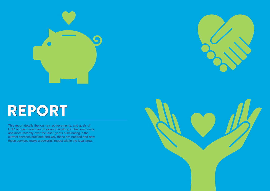

This report details the journey, achievements, and goals of HHP, across more than 30 years of working in the community, and more recently over the last 5 years culminating in the current services provided and why these are needed and how these services make a powerful impact within the local area.



# REPORT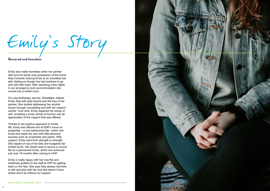

Emily was made homeless when her partner died and his family took possession of the home they'd shared, leaving Emily at an incredibly low ebb, feeling as though she had nowhere to go and with little hope. After spending a few nights in our emergency bunk accommodation she moved into a hostel room.

Our psychotherapy service, Streetlight, helped Emily deal with past trauma and the loss of her partner. She started addressing her alcohol issues through counselling and with her support worker. Over time, Emily regained her sense of self, revealing a lovely sense of humour and an appreciation of the support that was offered.

Thanks to her positive approach to hostel life, Emily was offered one of HHP's move on properties – a one bedroomed flat - which she loved and made her own with little personal touches such as ornaments and plants. With support, Emily went from strength to strength. She stayed on top of her bills and budgeted her limited funds. Her dream was to secure a council flat as a permanent home, which she achieved just over 18 months after coming to HHP.

Emily is really happy with her new flat and extremely grateful to the staff at HHP for getting back on her feet. She says they always had time to talk and joke with her and she doesn't know where she'd be without our support.

### Emily's Story Bereaved and homeless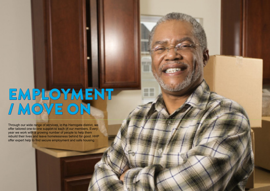

Through our wide range of services, in the Harrogate district, we offer tailored one-to-one support to each of our members. Every year we work with a growing number of people to help them rebuild their lives and leave homelessness behind for good. HHP offer expert help to find secure employment and safe housing.

## EMPLOYMENT / MOVE ON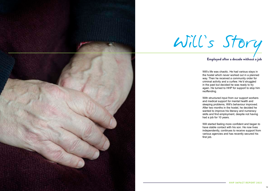

Will's life was chaotic. He had various stays in the hostel which never worked out in a planned way. Then he received a community order for criminal activity and a curfew. He'd struggled in the past but decided he was ready to try again. He turned to HHP for support to stop him reoffending.

With structured input from our support workers and medical support for mental health and sleeping problems, Will's behaviour improved. After two months in the hostel, he decided he wanted to improve his literacy and numeracy skills and find employment, despite not having had a job for 10 years.

Will started feeling more confident and began to have stable contact with his son. He now lives independently, continues to receive support from various agencies and has recently secured his first job.

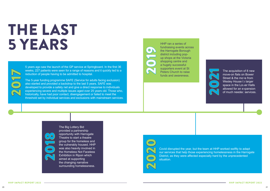#### HHP IMPACT REPORT 2022 HHP IMPACT REPORT 2022

## THE LAST 5 YEARS

5 years ago saw the launch of the GP service at Springboard. In the first 36 weeks, 227 patients were seen for a range of reasons and it quickly led to a reduction of people having to be admitted to hospital.

The 5-year funding programme SAFE (Service for adults facing exclusion) also started and provided a backdrop to the last 5 years. SAFE was developed to provide a safety net and give a direct response to individuals experiencing severe and multiple issues aged over 25 years old. Those who, historically, have had poor contact, disengagement or failed to meet the threshold set by individual services and exclusions with mainstream services.

2017

The Big Lottery Bid provided a partnership opportunity with Harrogate Theatre to start a theatre group for the homeless and the vulnerably housed. HHP was also heavily involved in the Homeless Not Faceless Exhibition in Ripon which aimed at supporting the changing narrative surrounding homelessness.

2018

HHP ran a series of fundraising events across the Harrogate Borough district including popup shops at the Victoria shopping centre and a hugely successful supporters event at St Peters Church to raise funds and awareness.

2019

The acquisition of 8 new move-on flats on Bower Street & the move from Wesley House to larger space in the Lover Halls allowed for an expansion of much needed services.



Covid disrupted the year, but the team at HHP worked swiftly to adapt our services that help those experiencing homelessness in the Harrogate District, as they were affected especially hard by the unprecedented situation.

2020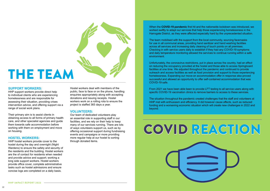When the **COVID-19 pandemic** first hit and the nationwide lockdown was introduced, we worked swiftly to adapt our services that help those experiencing homelessness in the Harrogate District, as they were affected especially hard by the unprecedented situation.

The team mobilised with the support from the local community, sourcing facemasks for use in all communal areas, providing hand sanitizer and hand washing facilities across all services and increasing daily cleaning of touch points on all premises. Checking in with service users daily to establish if they had any COVID-19 symptoms and daily temperature monitoring allowed the services to continue running within a safe environment.



Unfortunately, the coronavirus restrictions, put in place across the country, had an effect on reducing the occupancy provided at the hostel and those able to access Springboard facilities at one time. We adjusted throughout the pandemic and continued to provide outreach and access facilities as well as food provision and support to those experiencing homelessness. Expanding our move-on accommodation offer in response also proved successful and allowed an opportunity to offer self-contained accommodation that was COVID-19 safe.

From 2021 we have been able been to provide LFT testing to all service users along with specific COVID-19 vaccination clinics to remove barriers to access to these services.

The situation throughout the pandemic created challenges that the staff and volunteers at HHP met with enthusiasm and efficiency. It did however cause effects, such as reduced funding and a worsening economic situation which will create new challenges in 2022 and beyond.

#### **SUPPORT WORKERS:**

HHP support workers provide direct help to individual clients who are experiencing homelessness and are responsible for assessing their situation, providing crises intervention advice, and offering support via a range of social work plans.

Their primary aim is to assist clients in obtaining access to all forms of primary health care, and other specialist agencies and guide them towards safe accommodation before working with them on employment and move on housing.

### **HOSTEL WORKERS:**

HHP hostel workers provide cover to the hostel during the day and overnight (Night Wardens) to ensure the safety and security of the residents and the building. Hostel workers are the of contact for residents when needed and provide advice and support; working a long side support workers. Hostel workers provide office cover, complete administrative tasks such as hostel admissions and ensure concise logs are completed on a daily basis.

Hostel workers deal with members of the public, face to face or on the phone, handling enquiries appropriately along with accepting donations and issuing receipts. Hostel workers work on a rolling rota to ensure the project is staffed 365 days a year.

### **VOLUNTEERS:**

Our team of dedicated volunteers play an essential role in supporting staff in our facilities, and we rely on their help to keep many of our services running. There are lots of ways volunteers support us, such as by offering occasional support during fundraising events and campaigns or more providing more regular help at our hostel to sorting through donated items.

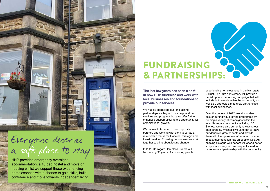HHP provides emergency overnight accommodation, a 16 bed hostel and move on housing whilst we support those experiencing homelessness with a chance to gain skills, build confidence and move towards independent living. We hugely appreciate our long lasting partnerships as they not only help fund our services and programs but also offer further enhanced support allowing the opportunity for organisational growth.

**The last few years has seen a shift in how HHP fundraise and work with local businesses and foundations to provide our services.**

We believe in listening to our corporate partners and working with them to curate a relationship that is multifaceted, strategic and transformative. Focusing on how we can work together to bring about lasting change.

In 2022 Harrogate Homeless Project will be marking 30 years of supporting people



experiencing homelessness in the Harrogate District. The 30th anniversary will provide a backdrop to a fundraising campaign that will include both events within the community as well as a strategic aim to grow partnerships with local businesses.

Over the course of 2022, we aim to also bolster our individual giving programme by running a variety of campaigns within the local Harrogate community including, 30 Stories. We are also currently reviewing our data strategy, which allows us to get to know our donors in greater depth and provide them with the up-to-date information on what impact their donation has on people lives. An ongoing dialogue with donors will offer a better supporter journey and subsequently lead to more involved partnership with the community.



### Everyone deserves a safe place to stay

### FUNDRAISING & PARTNERSHIPS: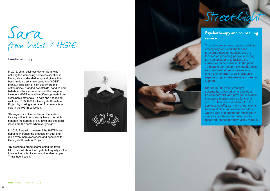### Psychotherapy and counselling service

The work we do goes beyond providing emergency food and shelter and temporary accommodation. We are focused on providing people with long term solutions and to tackling the causes of homelessness. In the past 12 months our resident psychotherapist has provided tailored interventions and psychotherapy to 25 individuals experiencing homelessness and needing support.

Started in 2013 the Streetlight scheme has allowed us to employ a Psychotherapist who provides a flexible, innovative therapy service for clients of HHP. This is a vital element of the services we offer as many of our clients have multiple complex needs and the waiting lists and criteria for mainstream services is a barrier to these people receiving the support they vitally require.

## Sara from Violet / HGTE



In 2016, small business owner, Sara, was noticing the worsening homeless situation in Harrogate and decided to try and give a little back. In doing so, she created the "HGTE" brand, A collection of high quality organic cotton unisex branded sweatshirts, hoodies and t-shirts and has since expanded the range to include a HGTE reusable coffee cup made from sustainable materials. To date she has raised well over £13500.00 for Harrogate Homeless Project by making a donation from every item sold in the HGTE collection.

"Harrogate is a little bubble, on the surface it's very affluent but you only have to scratch beneath the surface of any town and the social issues are the same wherever you go."

In 2022, Sara with the use of the HGTE brand hopes to increase the products on offer and raise even more awareness and donations for Harrogate Homeless Project.

"By creating a brand championing the town HGTE, it's all about Harrogate but equally it's the town looking after it's more vulnerable people. That's how I see it."



### Fundraiser Story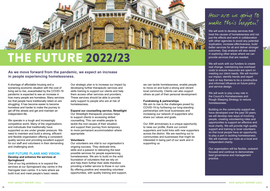$\mathcal{F}$ 

A shortage of affordable housing and a worsening economic situation with the cost of living set to rise, exacerbated by the COVID-19 pandemic is expected to see an increase in how many people are homeless. Many services too that people have traditionally relied on are struggling. It has become easier to become homeless and harder to make the journey to get off the streets and get and maintain an independent life.

We operate in a tough and increasingly competitive world. Many of the organisations and individuals that traditionally have supported us are under greater pressure. We need to maintain and build a strong, efficient and flexible organisation offering a consistent quality service and providing excellent support for our staff and volunteers in their demanding and challenging work.

### **HHP FUTURE PLANS AND VISION:**

#### **Develop and enhance the services at Springboard**

One of our big ambitions is to expand the services at our Springboard day centre in the Harrogate town centre. It is here where we build trust and meet people's basic needs.

Our strategic plan is to increase our impact by developing further therapeutic services and skills training to support our clients and help them access other services and providers. These services should be able to provide early support to people who are at risk of homelessness.

We will work to develop services that treat the causes of homelessness and not just the effects and work in collaboration with other agencies to avoid any potential duplication, increase effectiveness, build better services for all and deliver stronger outcomes. Gap analysis will also assist in exploring other areas where we can provide services that are needed.

#### **Expand our counselling service, Streetlight**

We will work to play a key role in the Council's Homelessness and Rough Sleeping Strategy to reduce homelessness.

Our Streetlight therapeutic process helps to support clients in accessing skilled counselling. This can enable people to tackle the root causes of their situation and support their journey from temporary to more permanent accommodation where appropriate.

#### **Volunteers**

Our volunteers are vital to our organisation's ongoing success. They dedicate time, skills and a passion to delivering the best possible services for people experiencing homelessness. We aim to build on the solid foundation of volunteers that we rely on and help them further their skills therefore providing a better service to those in our care. By offering positive and rewarding volunteer opportunities, with quality training and support, We aim to rise to the challenges posed by COVID-19 by furthering our long-standing partnerships with local businesses and increasing our network of supporters who share our values and goals.



### THE FUTURE 2022/23

### How are we going to make this happen?

We will work with our funders to create real change, maintaining low overhead costs to ensure resources are spent on meeting our client needs. We will monitor our impact, identify trends and report back on key themes to be a constructive and informed influence on future policy and service design.

Building on the community support we have developed over the past 30 years, we will develop new ways of involving people, creating volunteering roles and opportunities to support an effective and local charity. We will provide high quality support and training to local volunteers so that local people have an opportunity to play a part in tackling homelessness. We will maintain our roots as a local and independent charity.

Our organisation will be flexible, outwardfocused and continue to demonstrate best governance and management practice.

we can tackle homelessness, enable people to move on and build a strong and vibrant local community. Clients can also support others as part of their personal development.

### **Fundraising & partnerships**

Our 30th anniversary is a unique opportunity to raise our profile, thank our current supporters and build links with new supporters across the district. We are reaching out to communities and businesses that might be interested in being part of our work and in supporting us.

### **As we move forward from the pandemic, we expect an increase in people experiencing homelessness.**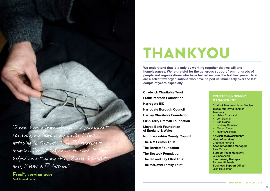"I now have a home which is a permanent tenancy, my home is nothing to furnish Homeless Project helped me furnish helped me set up my bills; I am in credit now, I have a TV license!"

Fred\*, service user \*not his real name

**Chadwick Charitable Trust Frank Pearson Foundation Harrogate BID Harrogate Borough Council Hartley Charitable Foundation Liz & Terry Bramall Foundation Lloyds Bank Foundation of England & Wales North Yorkshire County Council The A M Fenton Trust The Bartlett Foundation The Bostock Foundation The Ian and Fay Elliot Trust The McDevitt Family Trust**



## THANKYOU

**We understand that it is only by working together that we will end homelessness. We're grateful for the generous support from hundreds of people and organisations who have helped us over the last few years. Here are a select few organisations who have helped us immensely over the last couple of years especially.**

### **TRUSTEES & SENIOR MANAGEMENT**

**Chair of Trustees:** Jenni Moulson **Treasurer:** David Thomas **Trustees:**

- Helen Crossland
- Jen Dening
- Lee Evans
- **Lindsay Cameron**
- Marian Farrar
- Naomi Atkinson

**SENIOR MANAGEMENT**

**Head of services:** Charlotte Fortune **Accommodation Manager:** Alex McLean **Support Team Manager:** Giuliano Achilli **Fundraising Manager:** Thomas Richards **Business Support Officer:** Julia Houseman